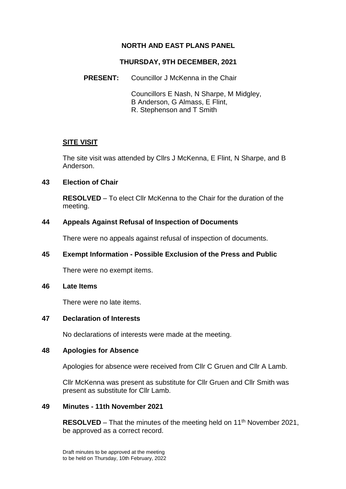# **NORTH AND EAST PLANS PANEL**

## **THURSDAY, 9TH DECEMBER, 2021**

## **PRESENT:** Councillor J McKenna in the Chair

Councillors E Nash, N Sharpe, M Midgley, B Anderson, G Almass, E Flint, R. Stephenson and T Smith

## **SITE VISIT**

The site visit was attended by Cllrs J McKenna, E Flint, N Sharpe, and B Anderson.

### **43 Election of Chair**

**RESOLVED** – To elect Cllr McKenna to the Chair for the duration of the meeting.

### **44 Appeals Against Refusal of Inspection of Documents**

There were no appeals against refusal of inspection of documents.

## **45 Exempt Information - Possible Exclusion of the Press and Public**

There were no exempt items.

#### **46 Late Items**

There were no late items.

#### **47 Declaration of Interests**

No declarations of interests were made at the meeting.

#### **48 Apologies for Absence**

Apologies for absence were received from Cllr C Gruen and Cllr A Lamb.

Cllr McKenna was present as substitute for Cllr Gruen and Cllr Smith was present as substitute for Cllr Lamb.

#### **49 Minutes - 11th November 2021**

**RESOLVED** – That the minutes of the meeting held on 11<sup>th</sup> November 2021, be approved as a correct record.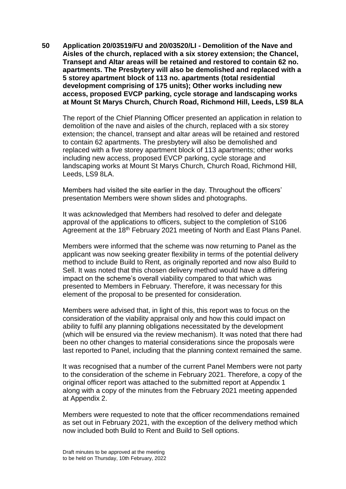**50 Application 20/03519/FU and 20/03520/LI - Demolition of the Nave and Aisles of the church, replaced with a six storey extension; the Chancel, Transept and Altar areas will be retained and restored to contain 62 no. apartments. The Presbytery will also be demolished and replaced with a 5 storey apartment block of 113 no. apartments (total residential development comprising of 175 units); Other works including new access, proposed EVCP parking, cycle storage and landscaping works at Mount St Marys Church, Church Road, Richmond Hill, Leeds, LS9 8LA**

The report of the Chief Planning Officer presented an application in relation to demolition of the nave and aisles of the church, replaced with a six storey extension; the chancel, transept and altar areas will be retained and restored to contain 62 apartments. The presbytery will also be demolished and replaced with a five storey apartment block of 113 apartments; other works including new access, proposed EVCP parking, cycle storage and landscaping works at Mount St Marys Church, Church Road, Richmond Hill, Leeds, LS9 8LA.

Members had visited the site earlier in the day. Throughout the officers' presentation Members were shown slides and photographs.

It was acknowledged that Members had resolved to defer and delegate approval of the applications to officers, subject to the completion of S106 Agreement at the 18<sup>th</sup> February 2021 meeting of North and East Plans Panel.

Members were informed that the scheme was now returning to Panel as the applicant was now seeking greater flexibility in terms of the potential delivery method to include Build to Rent, as originally reported and now also Build to Sell. It was noted that this chosen delivery method would have a differing impact on the scheme's overall viability compared to that which was presented to Members in February. Therefore, it was necessary for this element of the proposal to be presented for consideration.

Members were advised that, in light of this, this report was to focus on the consideration of the viability appraisal only and how this could impact on ability to fulfil any planning obligations necessitated by the development (which will be ensured via the review mechanism). It was noted that there had been no other changes to material considerations since the proposals were last reported to Panel, including that the planning context remained the same.

It was recognised that a number of the current Panel Members were not party to the consideration of the scheme in February 2021. Therefore, a copy of the original officer report was attached to the submitted report at Appendix 1 along with a copy of the minutes from the February 2021 meeting appended at Appendix 2.

Members were requested to note that the officer recommendations remained as set out in February 2021, with the exception of the delivery method which now included both Build to Rent and Build to Sell options.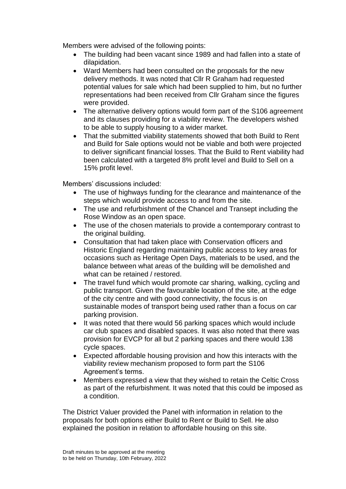Members were advised of the following points:

- The building had been vacant since 1989 and had fallen into a state of dilapidation.
- Ward Members had been consulted on the proposals for the new delivery methods. It was noted that Cllr R Graham had requested potential values for sale which had been supplied to him, but no further representations had been received from Cllr Graham since the figures were provided.
- The alternative delivery options would form part of the S106 agreement and its clauses providing for a viability review. The developers wished to be able to supply housing to a wider market.
- That the submitted viability statements showed that both Build to Rent and Build for Sale options would not be viable and both were projected to deliver significant financial losses. That the Build to Rent viability had been calculated with a targeted 8% profit level and Build to Sell on a 15% profit level.

Members' discussions included:

- The use of highways funding for the clearance and maintenance of the steps which would provide access to and from the site.
- The use and refurbishment of the Chancel and Transept including the Rose Window as an open space.
- The use of the chosen materials to provide a contemporary contrast to the original building.
- Consultation that had taken place with Conservation officers and Historic England regarding maintaining public access to key areas for occasions such as Heritage Open Days, materials to be used, and the balance between what areas of the building will be demolished and what can be retained / restored.
- The travel fund which would promote car sharing, walking, cycling and public transport. Given the favourable location of the site, at the edge of the city centre and with good connectivity, the focus is on sustainable modes of transport being used rather than a focus on car parking provision.
- It was noted that there would 56 parking spaces which would include car club spaces and disabled spaces. It was also noted that there was provision for EVCP for all but 2 parking spaces and there would 138 cycle spaces.
- Expected affordable housing provision and how this interacts with the viability review mechanism proposed to form part the S106 Agreement's terms.
- Members expressed a view that they wished to retain the Celtic Cross as part of the refurbishment. It was noted that this could be imposed as a condition.

The District Valuer provided the Panel with information in relation to the proposals for both options either Build to Rent or Build to Sell. He also explained the position in relation to affordable housing on this site.